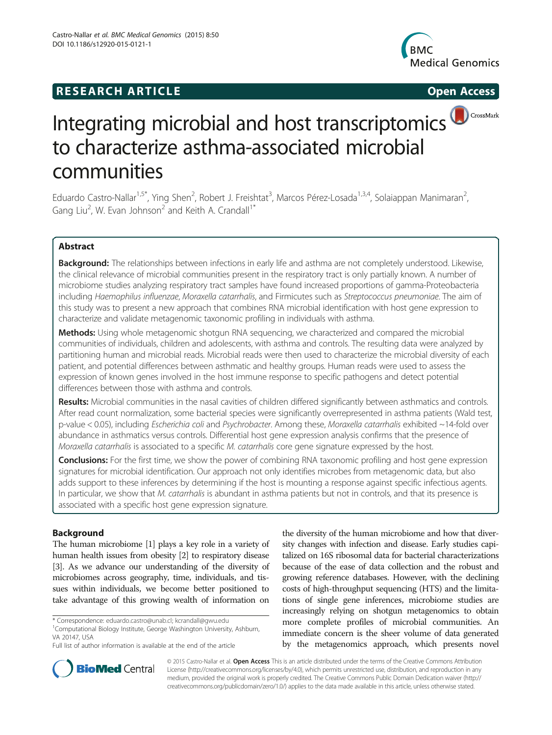# **RESEARCH ARTICLE Example 2014 CONSIDERING CONSIDERING CONSIDERING CONSIDERING CONSIDERING CONSIDERING CONSIDERING CONSIDERING CONSIDERING CONSIDERING CONSIDERING CONSIDERING CONSIDERING CONSIDERING CONSIDERING CONSIDE**



# Integrating microbial and host transcriptomics<sup>(DCrossMark</sup> to characterize asthma-associated microbial communities

Eduardo Castro-Nallar<sup>1,5\*</sup>, Ying Shen<sup>2</sup>, Robert J. Freishtat<sup>3</sup>, Marcos Pérez-Losada<sup>1,3,4</sup>, Solaiappan Manimaran<sup>2</sup> , Gang Liu<sup>2</sup>, W. Evan Johnson<sup>2</sup> and Keith A. Crandall<sup>1\*</sup>

# Abstract

Background: The relationships between infections in early life and asthma are not completely understood. Likewise, the clinical relevance of microbial communities present in the respiratory tract is only partially known. A number of microbiome studies analyzing respiratory tract samples have found increased proportions of gamma-Proteobacteria including Haemophilus influenzae, Moraxella catarrhalis, and Firmicutes such as Streptococcus pneumoniae. The aim of this study was to present a new approach that combines RNA microbial identification with host gene expression to characterize and validate metagenomic taxonomic profiling in individuals with asthma.

Methods: Using whole metagenomic shotgun RNA sequencing, we characterized and compared the microbial communities of individuals, children and adolescents, with asthma and controls. The resulting data were analyzed by partitioning human and microbial reads. Microbial reads were then used to characterize the microbial diversity of each patient, and potential differences between asthmatic and healthy groups. Human reads were used to assess the expression of known genes involved in the host immune response to specific pathogens and detect potential differences between those with asthma and controls.

Results: Microbial communities in the nasal cavities of children differed significantly between asthmatics and controls. After read count normalization, some bacterial species were significantly overrepresented in asthma patients (Wald test, p-value < 0.05), including Escherichia coli and Psychrobacter. Among these, Moraxella catarrhalis exhibited ~14-fold over abundance in asthmatics versus controls. Differential host gene expression analysis confirms that the presence of Moraxella catarrhalis is associated to a specific M. catarrhalis core gene signature expressed by the host.

**Conclusions:** For the first time, we show the power of combining RNA taxonomic profiling and host gene expression signatures for microbial identification. Our approach not only identifies microbes from metagenomic data, but also adds support to these inferences by determining if the host is mounting a response against specific infectious agents. In particular, we show that M. catarrhalis is abundant in asthma patients but not in controls, and that its presence is associated with a specific host gene expression signature.

# Background

The human microbiome [\[1\]](#page-7-0) plays a key role in a variety of human health issues from obesity [\[2\]](#page-7-0) to respiratory disease [[3](#page-7-0)]. As we advance our understanding of the diversity of microbiomes across geography, time, individuals, and tissues within individuals, we become better positioned to take advantage of this growing wealth of information on

<sup>1</sup>Computational Biology Institute, George Washington University, Ashburn, VA 20147, USA

the diversity of the human microbiome and how that diversity changes with infection and disease. Early studies capitalized on 16S ribosomal data for bacterial characterizations because of the ease of data collection and the robust and growing reference databases. However, with the declining costs of high-throughput sequencing (HTS) and the limitations of single gene inferences, microbiome studies are increasingly relying on shotgun metagenomics to obtain more complete profiles of microbial communities. An immediate concern is the sheer volume of data generated by the metagenomics approach, which presents novel



© 2015 Castro-Nallar et al. Open Access This is an article distributed under the terms of the Creative Commons Attribution License [\(http://creativecommons.org/licenses/by/4.0\)](http://creativecommons.org/licenses/by/4.0), which permits unrestricted use, distribution, and reproduction in any medium, provided the original work is properly credited. The Creative Commons Public Domain Dedication waiver [\(http://](http://creativecommons.org/publicdomain/zero/1.0/) [creativecommons.org/publicdomain/zero/1.0/\)](http://creativecommons.org/publicdomain/zero/1.0/) applies to the data made available in this article, unless otherwise stated.

<sup>\*</sup> Correspondence: [eduardo.castro@unab.cl;](mailto:eduardo.castro@unab.cl) [kcrandall@gwu.edu](mailto:kcrandall@gwu.edu) <sup>1</sup>

Full list of author information is available at the end of the article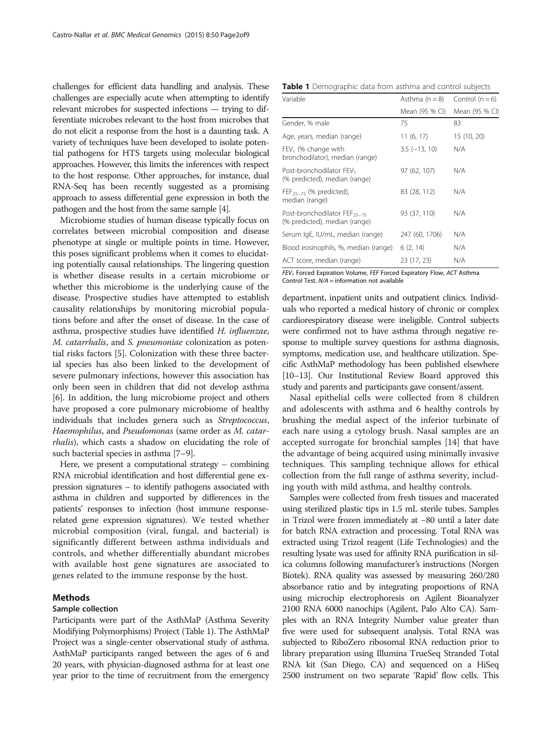<span id="page-1-0"></span>challenges for efficient data handling and analysis. These challenges are especially acute when attempting to identify relevant microbes for suspected infections — trying to differentiate microbes relevant to the host from microbes that do not elicit a response from the host is a daunting task. A variety of techniques have been developed to isolate potential pathogens for HTS targets using molecular biological approaches. However, this limits the inferences with respect to the host response. Other approaches, for instance, dual RNA-Seq has been recently suggested as a promising approach to assess differential gene expression in both the pathogen and the host from the same sample [\[4\]](#page-7-0).

Microbiome studies of human disease typically focus on correlates between microbial composition and disease phenotype at single or multiple points in time. However, this poses significant problems when it comes to elucidating potentially causal relationships. The lingering question is whether disease results in a certain microbiome or whether this microbiome is the underlying cause of the disease. Prospective studies have attempted to establish causality relationships by monitoring microbial populations before and after the onset of disease. In the case of asthma, prospective studies have identified H. influenzae, M. catarrhalis, and S. pneumoniae colonization as potential risks factors [[5\]](#page-7-0). Colonization with these three bacterial species has also been linked to the development of severe pulmonary infections, however this association has only been seen in children that did not develop asthma [[6\]](#page-7-0). In addition, the lung microbiome project and others have proposed a core pulmonary microbiome of healthy individuals that includes genera such as Streptococcus, Haemophilus, and Pseudomonas (same order as M. catarrhalis), which casts a shadow on elucidating the role of such bacterial species in asthma [\[7](#page-7-0)–[9](#page-7-0)].

Here, we present a computational strategy – combining RNA microbial identification and host differential gene expression signatures – to identify pathogens associated with asthma in children and supported by differences in the patients' responses to infection (host immune responserelated gene expression signatures). We tested whether microbial composition (viral, fungal, and bacterial) is significantly different between asthma individuals and controls, and whether differentially abundant microbes with available host gene signatures are associated to genes related to the immune response by the host.

### Methods

#### Sample collection

Participants were part of the AsthMaP (Asthma Severity Modifying Polymorphisms) Project (Table 1). The AsthMaP Project was a single-center observational study of asthma. AsthMaP participants ranged between the ages of 6 and 20 years, with physician-diagnosed asthma for at least one year prior to the time of recruitment from the emergency

|  |  | Table 1 Demographic data from asthma and control subjects |  |  |  |  |  |  |  |
|--|--|-----------------------------------------------------------|--|--|--|--|--|--|--|
|--|--|-----------------------------------------------------------|--|--|--|--|--|--|--|

| Variable                                                                  | Asthma $(n = 8)$ | Control $(n = 6)$ |
|---------------------------------------------------------------------------|------------------|-------------------|
|                                                                           | Mean (95 % CI)   | Mean (95 % CI)    |
| Gender, % male                                                            | 75               | 83                |
| Age, years, median (range)                                                | 11(6, 17)        | 15 (10, 20)       |
| $FEV1$ (% change with<br>bronchodilator), median (range)                  | $3.5(-13, 10)$   | N/A               |
| Post-bronchodilator FEV <sub>1</sub><br>(% predicted), median (range)     | 97 (62, 107)     | N/A               |
| $FEF_{25-75}$ (% predicted),<br>median (range)                            | 83 (28, 112)     | N/A               |
| Post-bronchodilator FEF <sub>25-75</sub><br>(% predicted), median (range) | 93 (37, 110)     | N/A               |
| Serum IgE, IU/mL, median (range)                                          | 247 (60, 1706)   | N/A               |
| Blood eosinophils, %, median (range)                                      | 6(2, 14)         | N/A               |
| ACT score, median (range)                                                 | 23 (17, 23)      | N/A               |

 $FEV<sub>1</sub>$  Forced Expiration Volume, FEF Forced Expiratory Flow, ACT Asthma Control Test. N/A = information not available

department, inpatient units and outpatient clinics. Individuals who reported a medical history of chronic or complex cardiorespiratory disease were ineligible. Control subjects were confirmed not to have asthma through negative response to multiple survey questions for asthma diagnosis, symptoms, medication use, and healthcare utilization. Specific AsthMaP methodology has been published elsewhere [[10](#page-7-0)–[13](#page-7-0)]. Our Institutional Review Board approved this study and parents and participants gave consent/assent.

Nasal epithelial cells were collected from 8 children and adolescents with asthma and 6 healthy controls by brushing the medial aspect of the inferior turbinate of each nare using a cytology brush. Nasal samples are an accepted surrogate for bronchial samples [\[14](#page-7-0)] that have the advantage of being acquired using minimally invasive techniques. This sampling technique allows for ethical collection from the full range of asthma severity, including youth with mild asthma, and healthy controls.

Samples were collected from fresh tissues and macerated using sterilized plastic tips in 1.5 mL sterile tubes. Samples in Trizol were frozen immediately at −80 until a later date for batch RNA extraction and processing. Total RNA was extracted using Trizol reagent (Life Technologies) and the resulting lysate was used for affinity RNA purification in silica columns following manufacturer's instructions (Norgen Biotek). RNA quality was assessed by measuring 260/280 absorbance ratio and by integrating proportions of RNA using microchip electrophoresis on Agilent Bioanalyzer 2100 RNA 6000 nanochips (Agilent, Palo Alto CA). Samples with an RNA Integrity Number value greater than five were used for subsequent analysis. Total RNA was subjected to RiboZero ribosomal RNA reduction prior to library preparation using Illumina TrueSeq Stranded Total RNA kit (San Diego, CA) and sequenced on a HiSeq 2500 instrument on two separate 'Rapid' flow cells. This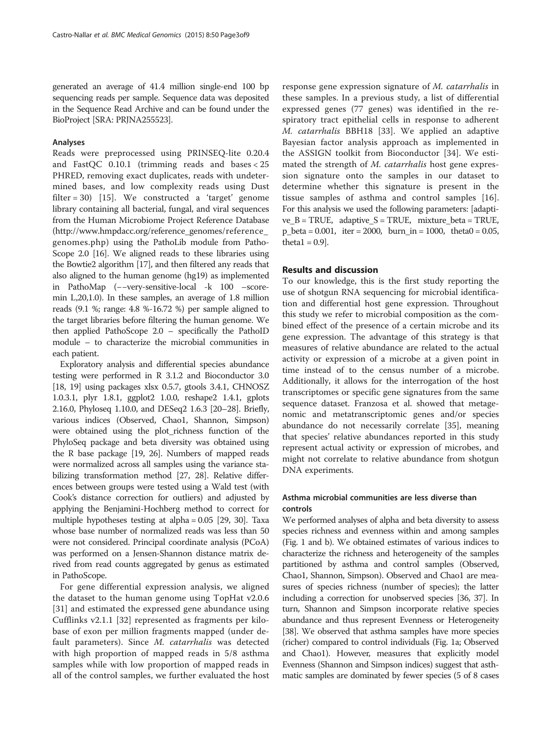generated an average of 41.4 million single-end 100 bp sequencing reads per sample. Sequence data was deposited in the Sequence Read Archive and can be found under the BioProject [SRA: PRJNA255523].

#### Analyses

Reads were preprocessed using PRINSEQ-lite 0.20.4 and FastQC 0.10.1 (trimming reads and bases < 25 PHRED, removing exact duplicates, reads with undetermined bases, and low complexity reads using Dust filter = 30) [[15](#page-7-0)]. We constructed a 'target' genome library containing all bacterial, fungal, and viral sequences from the Human Microbiome Project Reference Database ([http://www.hmpdacc.org/reference\\_genomes/reference\\_](http://www.hmpdacc.org/reference_genomes/reference_genomes.php) [genomes.php\)](http://www.hmpdacc.org/reference_genomes/reference_genomes.php) using the PathoLib module from Patho-Scope 2.0 [\[16\]](#page-7-0). We aligned reads to these libraries using the Bowtie2 algorithm [\[17\]](#page-7-0), and then filtered any reads that also aligned to the human genome (hg19) as implemented in PathoMap (−−very-sensitive-local -k 100 –scoremin L,20,1.0). In these samples, an average of 1.8 million reads (9.1 %; range: 4.8 %-16.72 %) per sample aligned to the target libraries before filtering the human genome. We then applied PathoScope 2.0 – specifically the PathoID module – to characterize the microbial communities in each patient.

Exploratory analysis and differential species abundance testing were performed in R 3.1.2 and Bioconductor 3.0 [[18](#page-7-0), [19\]](#page-7-0) using packages xlsx 0.5.7, gtools 3.4.1, CHNOSZ 1.0.3.1, plyr 1.8.1, ggplot2 1.0.0, reshape2 1.4.1, gplots 2.16.0, Phyloseq 1.10.0, and DESeq2 1.6.3 [[20](#page-7-0)–[28\]](#page-7-0). Briefly, various indices (Observed, Chao1, Shannon, Simpson) were obtained using the plot\_richness function of the PhyloSeq package and beta diversity was obtained using the R base package [[19](#page-7-0), [26](#page-7-0)]. Numbers of mapped reads were normalized across all samples using the variance stabilizing transformation method [[27](#page-7-0), [28](#page-7-0)]. Relative differences between groups were tested using a Wald test (with Cook's distance correction for outliers) and adjusted by applying the Benjamini-Hochberg method to correct for multiple hypotheses testing at alpha = 0.05 [\[29, 30](#page-7-0)]. Taxa whose base number of normalized reads was less than 50 were not considered. Principal coordinate analysis (PCoA) was performed on a Jensen-Shannon distance matrix derived from read counts aggregated by genus as estimated in PathoScope.

For gene differential expression analysis, we aligned the dataset to the human genome using TopHat v2.0.6 [[31\]](#page-7-0) and estimated the expressed gene abundance using Cufflinks v2.1.1 [[32\]](#page-7-0) represented as fragments per kilobase of exon per million fragments mapped (under default parameters). Since M. catarrhalis was detected with high proportion of mapped reads in 5/8 asthma samples while with low proportion of mapped reads in all of the control samples, we further evaluated the host

response gene expression signature of M. catarrhalis in these samples. In a previous study, a list of differential expressed genes (77 genes) was identified in the respiratory tract epithelial cells in response to adherent M. catarrhalis BBH18 [\[33](#page-7-0)]. We applied an adaptive Bayesian factor analysis approach as implemented in the ASSIGN toolkit from Bioconductor [\[34](#page-7-0)]. We estimated the strength of M. catarrhalis host gene expression signature onto the samples in our dataset to determine whether this signature is present in the tissue samples of asthma and control samples [\[16](#page-7-0)]. For this analysis we used the following parameters: [adaptive  $B = TRUE$ , adaptive  $S = TRUE$ , mixture beta = TRUE,  $p_{\text{beta}} = 0.001$ , iter = 2000, burn\_in = 1000, theta0 = 0.05, theta $1 = 0.9$ ].

#### Results and discussion

To our knowledge, this is the first study reporting the use of shotgun RNA sequencing for microbial identification and differential host gene expression. Throughout this study we refer to microbial composition as the combined effect of the presence of a certain microbe and its gene expression. The advantage of this strategy is that measures of relative abundance are related to the actual activity or expression of a microbe at a given point in time instead of to the census number of a microbe. Additionally, it allows for the interrogation of the host transcriptomes or specific gene signatures from the same sequence dataset. Franzosa et al. showed that metagenomic and metatranscriptomic genes and/or species abundance do not necessarily correlate [[35\]](#page-7-0), meaning that species' relative abundances reported in this study represent actual activity or expression of microbes, and might not correlate to relative abundance from shotgun DNA experiments.

# Asthma microbial communities are less diverse than controls

We performed analyses of alpha and beta diversity to assess species richness and evenness within and among samples (Fig. [1](#page-3-0) and [b\)](#page-3-0). We obtained estimates of various indices to characterize the richness and heterogeneity of the samples partitioned by asthma and control samples (Observed, Chao1, Shannon, Simpson). Observed and Chao1 are measures of species richness (number of species); the latter including a correction for unobserved species [\[36, 37](#page-7-0)]. In turn, Shannon and Simpson incorporate relative species abundance and thus represent Evenness or Heterogeneity [[38](#page-7-0)]. We observed that asthma samples have more species (richer) compared to control individuals (Fig. [1a;](#page-3-0) Observed and Chao1). However, measures that explicitly model Evenness (Shannon and Simpson indices) suggest that asthmatic samples are dominated by fewer species (5 of 8 cases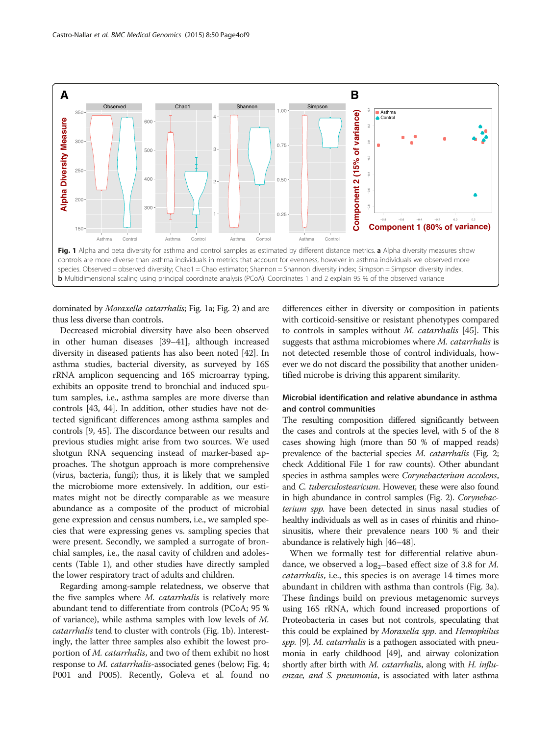<span id="page-3-0"></span>

dominated by Moraxella catarrhalis; Fig. 1a; Fig. [2](#page-4-0)) and are thus less diverse than controls.

Decreased microbial diversity have also been observed in other human diseases [[39](#page-7-0)–[41\]](#page-7-0), although increased diversity in diseased patients has also been noted [[42](#page-7-0)]. In asthma studies, bacterial diversity, as surveyed by 16S rRNA amplicon sequencing and 16S microarray typing, exhibits an opposite trend to bronchial and induced sputum samples, i.e., asthma samples are more diverse than controls [\[43, 44](#page-7-0)]. In addition, other studies have not detected significant differences among asthma samples and controls [\[9](#page-7-0), [45](#page-7-0)]. The discordance between our results and previous studies might arise from two sources. We used shotgun RNA sequencing instead of marker-based approaches. The shotgun approach is more comprehensive (virus, bacteria, fungi); thus, it is likely that we sampled the microbiome more extensively. In addition, our estimates might not be directly comparable as we measure abundance as a composite of the product of microbial gene expression and census numbers, i.e., we sampled species that were expressing genes vs. sampling species that were present. Secondly, we sampled a surrogate of bronchial samples, i.e., the nasal cavity of children and adolescents (Table [1\)](#page-1-0), and other studies have directly sampled the lower respiratory tract of adults and children.

Regarding among-sample relatedness, we observe that the five samples where M. catarrhalis is relatively more abundant tend to differentiate from controls (PCoA; 95 % of variance), while asthma samples with low levels of M. catarrhalis tend to cluster with controls (Fig. 1b). Interestingly, the latter three samples also exhibit the lowest proportion of M. catarrhalis, and two of them exhibit no host response to M. catarrhalis-associated genes (below; Fig. [4](#page-6-0); P001 and P005). Recently, Goleva et al. found no differences either in diversity or composition in patients with corticoid-sensitive or resistant phenotypes compared to controls in samples without M. catarrhalis [[45\]](#page-7-0). This suggests that asthma microbiomes where M. catarrhalis is not detected resemble those of control individuals, however we do not discard the possibility that another unidentified microbe is driving this apparent similarity.

# Microbial identification and relative abundance in asthma and control communities

The resulting composition differed significantly between the cases and controls at the species level, with 5 of the 8 cases showing high (more than 50 % of mapped reads) prevalence of the bacterial species M. catarrhalis (Fig. [2](#page-4-0); check Additional File [1](#page-6-0) for raw counts). Other abundant species in asthma samples were Corynebacterium accolens, and *C. tuberculostearicum*. However, these were also found in high abundance in control samples (Fig. [2](#page-4-0)). Corynebacterium spp. have been detected in sinus nasal studies of healthy individuals as well as in cases of rhinitis and rhinosinusitis, where their prevalence nears 100 % and their abundance is relatively high [\[46](#page-7-0)–[48](#page-7-0)].

When we formally test for differential relative abundance, we observed a  $log_2$ -based effect size of 3.8 for *M*. catarrhalis, i.e., this species is on average 14 times more abundant in children with asthma than controls (Fig. [3a](#page-5-0)). These findings build on previous metagenomic surveys using 16S rRNA, which found increased proportions of Proteobacteria in cases but not controls, speculating that this could be explained by Moraxella spp. and Hemophilus spp. [[9\]](#page-7-0). M. catarrhalis is a pathogen associated with pneumonia in early childhood [[49](#page-7-0)], and airway colonization shortly after birth with M. catarrhalis, along with H. influenzae, and S. pneumonia, is associated with later asthma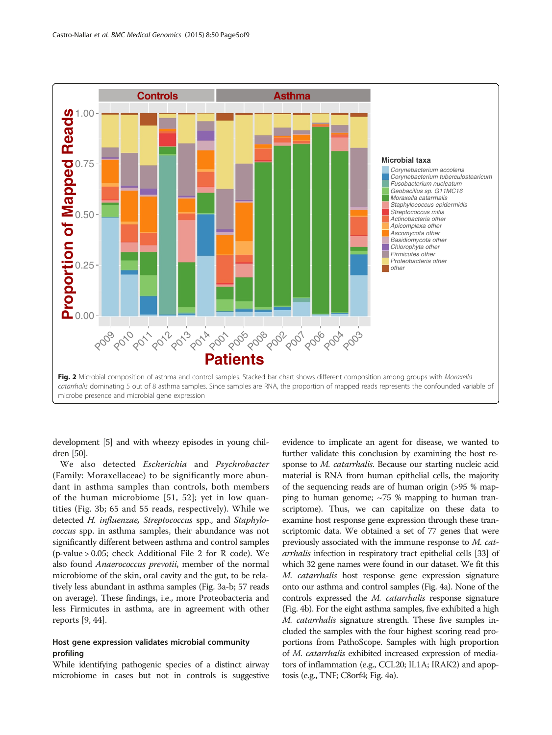<span id="page-4-0"></span>

development [\[5\]](#page-7-0) and with wheezy episodes in young children [\[50\]](#page-7-0).

We also detected Escherichia and Psychrobacter (Family: Moraxellaceae) to be significantly more abundant in asthma samples than controls, both members of the human microbiome [[51, 52\]](#page-8-0); yet in low quantities (Fig. [3b;](#page-5-0) 65 and 55 reads, respectively). While we detected H. influenzae, Streptococcus spp., and Staphylococcus spp. in asthma samples, their abundance was not significantly different between asthma and control samples (p-value > 0.05; check Additional File [2](#page-6-0) for R code). We also found Anaerococcus prevotii, member of the normal microbiome of the skin, oral cavity and the gut, to be relatively less abundant in asthma samples (Fig. [3a-b](#page-5-0); 57 reads on average). These findings, i.e., more Proteobacteria and less Firmicutes in asthma, are in agreement with other reports [\[9, 44](#page-7-0)].

# Host gene expression validates microbial community profiling

While identifying pathogenic species of a distinct airway microbiome in cases but not in controls is suggestive

evidence to implicate an agent for disease, we wanted to further validate this conclusion by examining the host response to M. catarrhalis. Because our starting nucleic acid material is RNA from human epithelial cells, the majority of the sequencing reads are of human origin (>95 % mapping to human genome;  $\sim$ 75 % mapping to human transcriptome). Thus, we can capitalize on these data to examine host response gene expression through these transcriptomic data. We obtained a set of 77 genes that were previously associated with the immune response to M. catarrhalis infection in respiratory tract epithelial cells [\[33\]](#page-7-0) of which 32 gene names were found in our dataset. We fit this M. catarrhalis host response gene expression signature onto our asthma and control samples (Fig. [4a](#page-6-0)). None of the controls expressed the M. catarrhalis response signature (Fig. [4b\)](#page-6-0). For the eight asthma samples, five exhibited a high M. catarrhalis signature strength. These five samples included the samples with the four highest scoring read proportions from PathoScope. Samples with high proportion of M. catarrhalis exhibited increased expression of mediators of inflammation (e.g., CCL20; IL1A; IRAK2) and apoptosis (e.g., TNF; C8orf4; Fig. [4a\)](#page-6-0).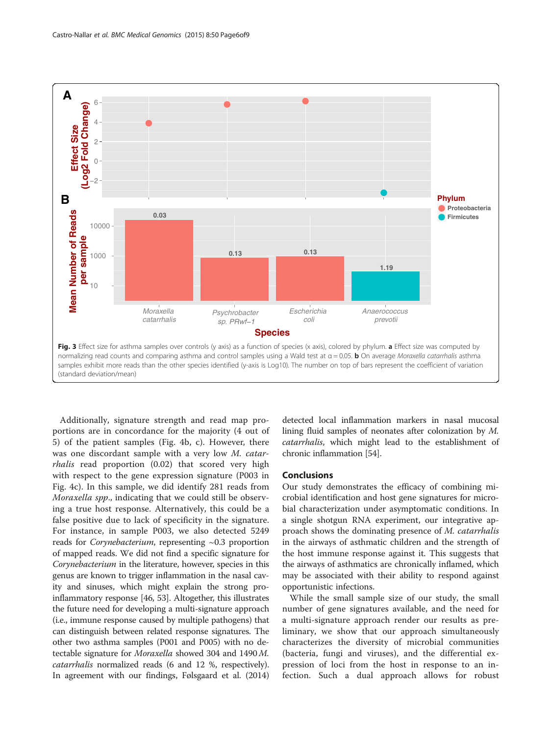<span id="page-5-0"></span>

Additionally, signature strength and read map proportions are in concordance for the majority (4 out of 5) of the patient samples (Fig. [4b, c\)](#page-6-0). However, there was one discordant sample with a very low M. catarrhalis read proportion (0.02) that scored very high with respect to the gene expression signature (P003 in Fig. [4c\)](#page-6-0). In this sample, we did identify 281 reads from Moraxella spp., indicating that we could still be observing a true host response. Alternatively, this could be a false positive due to lack of specificity in the signature. For instance, in sample P003, we also detected 5249 reads for *Corynebacterium*, representing  $\sim 0.3$  proportion of mapped reads. We did not find a specific signature for Corynebacterium in the literature, however, species in this genus are known to trigger inflammation in the nasal cavity and sinuses, which might explain the strong proinflammatory response [[46,](#page-7-0) [53](#page-8-0)]. Altogether, this illustrates the future need for developing a multi-signature approach (i.e., immune response caused by multiple pathogens) that can distinguish between related response signatures. The other two asthma samples (P001 and P005) with no detectable signature for Moraxella showed 304 and 1490 M. catarrhalis normalized reads (6 and 12 %, respectively). In agreement with our findings, Følsgaard et al. (2014)

detected local inflammation markers in nasal mucosal lining fluid samples of neonates after colonization by M. catarrhalis, which might lead to the establishment of chronic inflammation [\[54\]](#page-8-0).

#### Conclusions

Our study demonstrates the efficacy of combining microbial identification and host gene signatures for microbial characterization under asymptomatic conditions. In a single shotgun RNA experiment, our integrative approach shows the dominating presence of M. catarrhalis in the airways of asthmatic children and the strength of the host immune response against it. This suggests that the airways of asthmatics are chronically inflamed, which may be associated with their ability to respond against opportunistic infections.

While the small sample size of our study, the small number of gene signatures available, and the need for a multi-signature approach render our results as preliminary, we show that our approach simultaneously characterizes the diversity of microbial communities (bacteria, fungi and viruses), and the differential expression of loci from the host in response to an infection. Such a dual approach allows for robust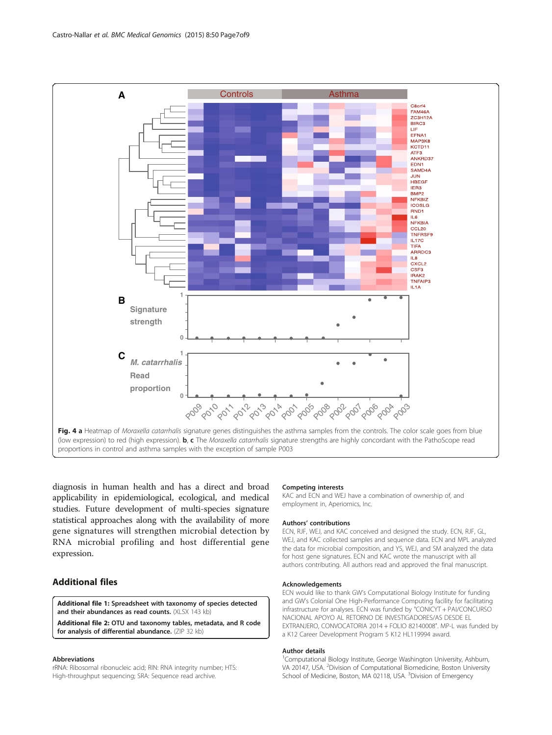<span id="page-6-0"></span>

diagnosis in human health and has a direct and broad applicability in epidemiological, ecological, and medical studies. Future development of multi-species signature statistical approaches along with the availability of more gene signatures will strengthen microbial detection by RNA microbial profiling and host differential gene expression.

# Additional files

[Additional file 1:](http://www.biomedcentral.com/content/supplementary/s12920-015-0121-1-s1.xlsx) Spreadsheet with taxonomy of species detected and their abundances as read counts. (XLSX 143 kb)

[Additional file 2:](http://www.biomedcentral.com/content/supplementary/s12920-015-0121-1-s2.zip) OTU and taxonomy tables, metadata, and R code for analysis of differential abundance. (ZIP 32 kb)

#### Abbreviations

rRNA: Ribosomal ribonucleic acid; RIN: RNA integrity number; HTS: High-throughput sequencing; SRA: Sequence read archive.

#### Competing interests

KAC and ECN and WEJ have a combination of ownership of, and employment in, Aperiomics, Inc.

#### Authors' contributions

ECN, RJF, WEJ, and KAC conceived and designed the study. ECN, RJF, GL, WEJ, and KAC collected samples and sequence data. ECN and MPL analyzed the data for microbial composition, and YS, WEJ, and SM analyzed the data for host gene signatures. ECN and KAC wrote the manuscript with all authors contributing. All authors read and approved the final manuscript.

#### Acknowledgements

ECN would like to thank GW's Computational Biology Institute for funding and GW's Colonial One High-Performance Computing facility for facilitating infrastructure for analyses. ECN was funded by "CONICYT + PAI/CONCURSO NACIONAL APOYO AL RETORNO DE INVESTIGADORES/AS DESDE EL EXTRANJERO, CONVOCATORIA 2014 + FOLIO 82140008". MP-L was funded by a K12 Career Development Program 5 K12 HL119994 award.

#### Author details

<sup>1</sup>Computational Biology Institute, George Washington University, Ashburn, VA 20147, USA. <sup>2</sup>Division of Computational Biomedicine, Boston University School of Medicine, Boston, MA 02118, USA. <sup>3</sup>Division of Emergency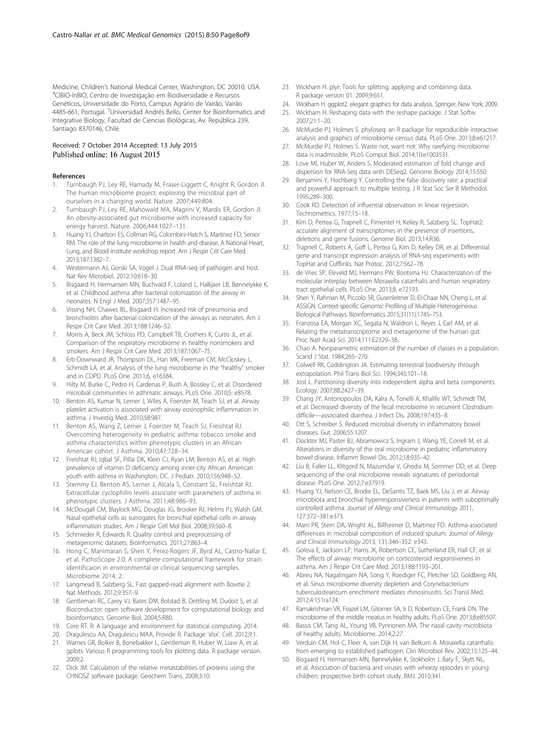<span id="page-7-0"></span>Medicine, Children's National Medical Center, Washington, DC 20010, USA. <sup>4</sup> CIBIO-InBIO, Centro de Investigação em Biodiversidade e Recursos Genéticos, Universidade do Porto, Campus Agrário de Vairão, Vairão 4485-661, Portugal. <sup>5</sup>Universidad Andrés Bello, Center for Bioinformatics and Integrative Biology, Facultad de Ciencias Biológicas, Av. República 239, Santiago 8370146, Chile.

#### Received: 7 October 2014 Accepted: 13 July 2015 Published online: 16 August 2015

#### References

- 1. Turnbaugh PJ, Ley RE, Hamady M, Fraser-Liggett C, Knight R, Gordon JI. The human microbiome project: exploring the microbial part of ourselves in a changing world. Nature. 2007;449:804.
- 2. Turnbaugh PJ, Ley RE, Mahowald MA, Magrini V, Mardis ER, Gordon JI. An obesity-associated gut microbiome with increased capacity for energy harvest. Nature. 2006;444:1027–131.
- 3. Huang YJ, Charlson ES, Collman RG, Colombini-Hatch S, Martinez FD, Senior RM. The role of the lung microbiome in health and disease. A National Heart, Lung, and Blood Institute workshop report. Am J Respir Crit Care Med. 2013;187:1382–7.
- 4. Westermann AJ, Gorski SA, Vogel J. Dual RNA-seq of pathogen and host. Nat Rev Microbiol. 2012;10:618–30.
- 5. Bisgaard H, Hermansen MN, Buchvald F, Loland L, Halkjaer LB, Bønnelykke K, et al. Childhood asthma after bacterial colonization of the airway in neonates. N Engl J Med. 2007;357:1487–95.
- 6. Vissing NH, Chawes BL, Bisgaard H. Increased risk of pneumonia and bronchiolitis after bacterial colonization of the airways as neonates. Am J Respir Crit Care Med. 2013;188:1246–52.
- 7. Morris A, Beck JM, Schloss PD, Campbell TB, Crothers K, Curtis JL, et al. Comparison of the respiratory microbiome in healthy nonsmokers and smokers. Am J Respir Crit Care Med. 2013;187:1067–75.
- 8. Erb-Downward JR, Thompson DL, Han MK, Freeman CM, McCloskey L, Schmidt LA, et al. Analysis of the lung microbiome in the "healthy" smoker and in COPD. PLoS One. 2011;6, e16384.
- 9. Hilty M, Burke C, Pedro H, Cardenas P, Bush A, Bossley C, et al. Disordered microbial communities in asthmatic airways. PLoS One. 2010;5: e8578.
- 10. Benton AS, Kumar N, Lerner J, Wiles A, Foerster M, Teach SJ, et al. Airway platelet activation is associated with airway eosinophilic inflammation in asthma. J Investig Med. 2010;58:987.
- 11. Benton AS, Wang Z, Lerner J, Foerster M, Teach SJ, Freishtat RJ. Overcoming heterogeneity in pediatric asthma: tobacco smoke and asthma characteristics within phenotypic clusters in an African American cohort. J Asthma. 2010;47:728–34.
- 12. Freishtat RJ, Iqbal SF, Pillai DK, Klein CJ, Ryan LM, Benton AS, et al. High prevalence of vitamin D deficiency among inner-city African American youth with asthma in Washington, DC. J Pediatr. 2010;156:948–52.
- 13. Stemmy EJ, Benton AS, Lerner J, Alcala S, Constant SL, Freishtat RJ. Extracellular cyclophilin levels associate with parameters of asthma in phenotypic clusters. J Asthma. 2011;48:986–93.
- 14. McDougall CM, Blaylock MG, Douglas JG, Brooker RJ, Helms PJ, Walsh GM. Nasal epithelial cells as surrogates for bronchial epithelial cells in airway inflammation studies. Am J Respir Cell Mol Biol. 2008;39:560–8.
- 15. Schmieder R, Edwards R. Quality control and preprocessing of metagenomic datasets. Bioinformatics. 2011;27:863–4.
- 16. Hong C, Manimaran S, Shen Y, Perez-Rogers JF, Byrd AL, Castro-Nallar E, et al. PathoScope 2.0: A complete computational framework for strain identificaion in environmental or clinical sequencing samples. Microbiome 2014, 2.
- 17. Langmead B, Salzberg SL. Fast gapped-read alignment with Bowtie 2. Nat Methods. 2012;9:357–9.
- 18. Gentleman RC, Carey VJ, Bates DM, Bolstad B, Dettling M, Dudoit S, et al. Bioconductor: open software development for computational biology and bioinformatics. Genome Biol. 2004;5:R80.
- 19. Core RT. R: A language and environment for statistical computing. 2014.
- 20. Dragulescu AA, Dragulescu MAA, Provide R. Package 'xlsx'. Cell. 2012;9:1.
- 21. Warnes GR, Bolker B, Bonebakker L, Gentleman R, Huber W, Liaw A, et al. gplots: Various R programming tools for plotting data. R package version. 2009;2.
- 22. Dick JM. Calculation of the relative metastabilities of proteins using the CHNOSZ software package. Geochem Trans. 2008;3:10.
- 23. Wickham H. plyr: Tools for splitting, applying and combining data. R package version 01. 2009;9:651.
- 24. Wickham H. ggplot2. elegant graphics for data analysis. Springer, New York; 2009.
- 25. Wickham H. Reshaping data with the reshape package. J Stat Softw.
	- 2007;21:1–20.
- 26. McMurdie PJ, Holmes S. phyloseq: an R package for reproducible interactive analysis and graphics of microbiome census data. PLoS One. 2013;8:e61217.
- 27. McMurdie PJ, Holmes S. Waste not, want not: Why rarefying microbiome data is inadmissible. PLoS Comput Biol. 2014;10:e1003531.
- 28. Love MI, Huber W, Anders S. Moderated estimation of fold change and dispersion for RNA-Seq data with DESeq2. Genome Biology 2014;15:550.
- 29. Benjamini Y, Hochberg Y. Controlling the false discovery rate: a practical and powerful approach to multiple testing. J R Stat Soc Ser B Methodol. 1995;289–300.
- 30. Cook RD. Detection of influential observation in linear regression. Technometrics. 1977;15–18.
- 31. Kim D, Pertea G, Trapnell C, Pimentel H, Kelley R, Salzberg SL. TopHat2: accurate alignment of transcriptomes in the presence of insertions, deletions and gene fusions. Genome Biol. 2013;14:R36.
- 32. Trapnell C, Roberts A, Goff L, Pertea G, Kim D, Kelley DR, et al. Differential gene and transcript expression analysis of RNA-seq experiments with TopHat and Cufflinks. Nat Protoc. 2012;7:562–78.
- 33. de Vries SP, Eleveld MJ, Hermans PW, Bootsma HJ. Characterization of the molecular interplay between Moraxella catarrhalis and human respiratory tract epithelial cells. PLoS One. 2013;8, e72193.
- 34. Shen Y, Rahman M, Piccolo SR, Gusenleitner D, EI-Chaar NN, Cheng L, et al. ASSIGN: Context-specific Genomic Profiling of Multiple Heterogeneous Biological Pathways. Bioinformatics 2015;31(11):1745–753.
- 35. Franzosa EA, Morgan XC, Segata N, Waldron L, Reyes J, Earl AM, et al. Relating the metatranscriptome and metagenome of the human gut. Proc Natl Acad Sci. 2014;111:E2329–38.
- 36. Chao A. Nonparametric estimation of the number of classes in a population. Scand J Stat. 1984;265–270.
- 37. Colwell RK, Coddington JA. Estimating terrestrial biodiversity through extrapolation. Phil Trans Biol Sci. 1994;345:101–18.
- 38. Jost L. Partitioning diversity into independent alpha and beta components. Ecology. 2007;88:2427–39.
- 39. Chang JY, Antonopoulos DA, Kalra A, Tonelli A, Khalife WT, Schmidt TM, et al. Decreased diversity of the fecal microbiome in recurrent Clostridium difficile—associated diarrhea. J Infect Dis. 2008;197:435–8.
- 40. Ott S, Schreiber S. Reduced microbial diversity in inflammatory bowel diseases. Gut. 2006;55:1207.
- 41. Docktor MJ, Paster BJ, Abramowicz S, Ingram J, Wang YE, Correll M, et al. Alterations in diversity of the oral microbiome in pediatric inflammatory bowel disease. Inflamm Bowel Dis. 2012;18:935–42.
- 42. Liu B, Faller LL, Klitgord N, Mazumdar V, Ghodsi M, Sommer DD, et al. Deep sequencing of the oral microbiome reveals signatures of periodontal disease. PLoS One. 2012;7:e37919.
- 43. Huang YJ, Nelson CE, Brodie EL, DeSantis TZ, Baek MS, Liu J, et al. Airway microbiota and bronchial hyperresponsiveness in patients with suboptimally controlled asthma. Journal of Allergy and Clinical Immunology 2011, 127:372–381:e373.
- 44. Marri PR, Stern DA, Wright AL, Billheimer D, Martinez FD: Asthma-associated differences in microbial composition of induced sputum. Journal of Allergy and Clinical Immunology 2013, 131:346–352: e343.
- 45. Goleva E, Jackson LP, Harris JK, Robertson CE, Sutherland ER, Hall CF, et al. The effects of airway microbiome on corticosteroid responsiveness in asthma. Am J Respir Crit Care Med. 2013;188:1193–201.
- 46. Abreu NA, Nagalingam NA, Song Y, Roediger FC, Pletcher SD, Goldberg AN, et al. Sinus microbiome diversity depletion and Corynebacterium tuberculostearicum enrichment mediates rhinosinusitis. Sci Transl Med. 2012;4:151ra124.
- 47. Ramakrishnan VR, Feazel LM, Gitomer SA, Ir D, Robertson CE, Frank DN. The microbiome of the middle meatus in healthy adults. PLoS One. 2013;8:e85507.
- 48. Bassis CM, Tang AL, Young VB, Pynnonen MA. The nasal cavity microbiota of healthy adults. Microbiome. 2014;2:27.
- 49. Verduin CM, Hol C, Fleer A, van Dijk H, van Belkum A. Moraxella catarrhalis: from emerging to established pathogen. Clin Microbiol Rev. 2002;15:125–44.
- 50. Bisgaard H, Hermansen MN, Bønnelykke K, Stokholm J, Baty F, Skytt NL, et al. Association of bacteria and viruses with wheezy episodes in young children: prospective birth cohort study. BMJ. 2010;341.